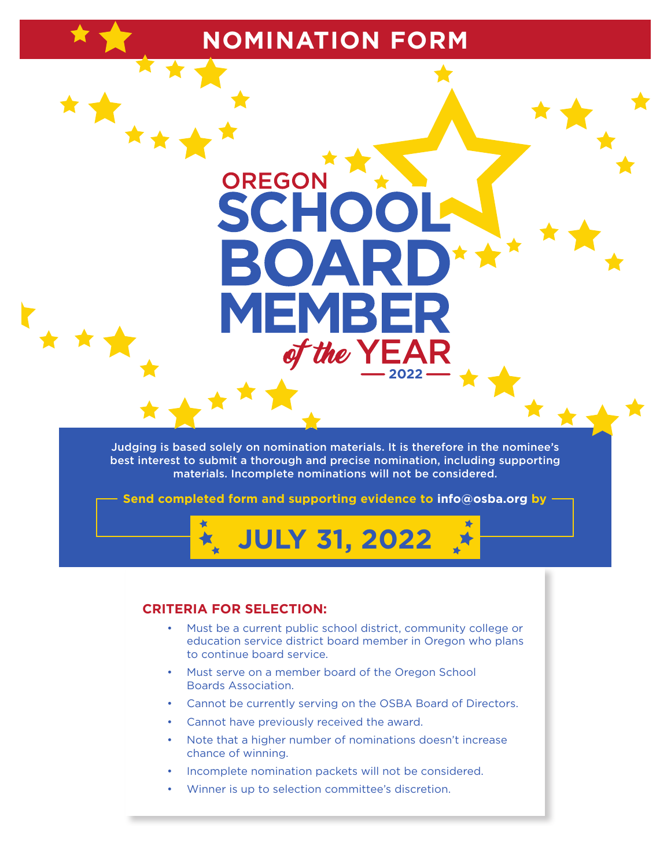# **NOMINATION FORM**

**OREGON** 

Judging is based solely on nomination materials. It is therefore in the nominee's best interest to submit a thorough and precise nomination, including supporting materials. Incomplete nominations will not be considered.

**2022**

the YEA

**Send completed form and supporting evidence to info@osba.org by**

# **JULY 31, 2022**

#### **CRITERIA FOR SELECTION:**

- Must be a current public school district, community college or education service district board member in Oregon who plans to continue board service.
- Must serve on a member board of the Oregon School Boards Association.
- Cannot be currently serving on the OSBA Board of Directors.
- Cannot have previously received the award.
- Note that a higher number of nominations doesn't increase chance of winning.
- Incomplete nomination packets will not be considered.
- Winner is up to selection committee's discretion.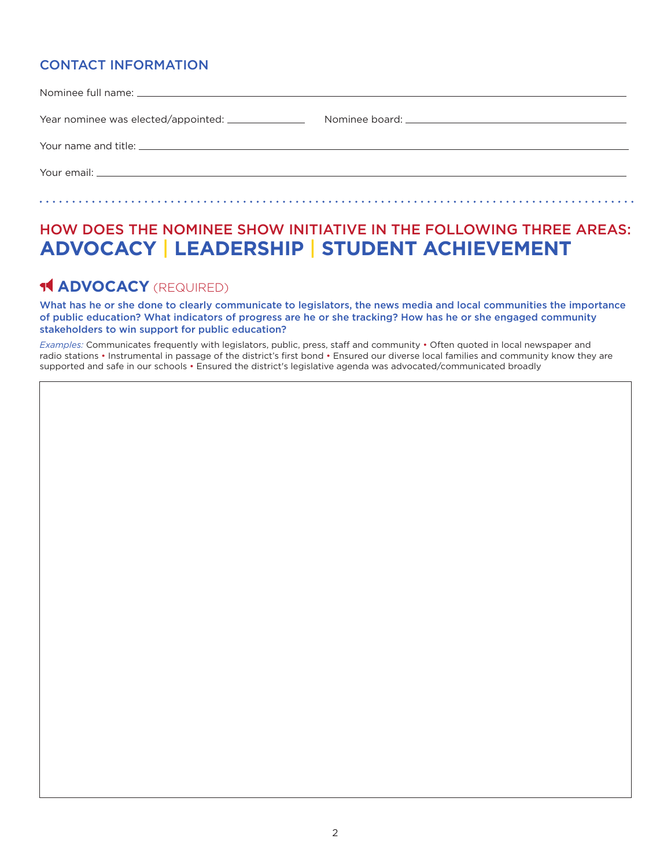### CONTACT INFORMATION

## HOW DOES THE NOMINEE SHOW INITIATIVE IN THE FOLLOWING THREE AREAS: **ADVOCACY** | **LEADERSHIP** | **STUDENT ACHIEVEMENT**

## **14 ADVOCACY** (REQUIRED)

What has he or she done to clearly communicate to legislators, the news media and local communities the importance of public education? What indicators of progress are he or she tracking? How has he or she engaged community stakeholders to win support for public education?

*Examples:* Communicates frequently with legislators, public, press, staff and community • Often quoted in local newspaper and radio stations • Instrumental in passage of the district's first bond • Ensured our diverse local families and community know they are supported and safe in our schools • Ensured the district's legislative agenda was advocated/communicated broadly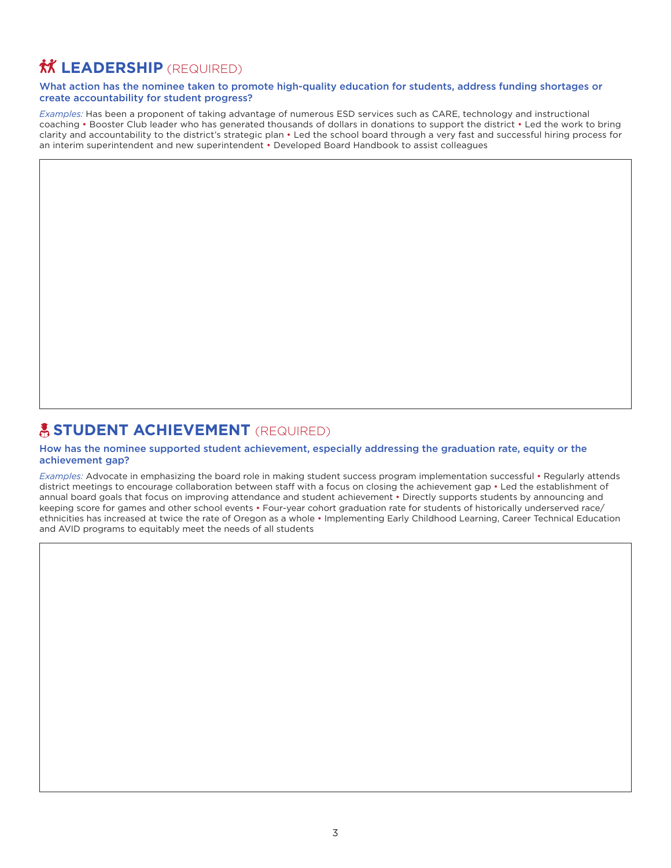# *M* **LEADERSHIP** (REQUIRED)

#### What action has the nominee taken to promote high-quality education for students, address funding shortages or create accountability for student progress?

*Examples:* Has been a proponent of taking advantage of numerous ESD services such as CARE, technology and instructional coaching • Booster Club leader who has generated thousands of dollars in donations to support the district • Led the work to bring clarity and accountability to the district's strategic plan • Led the school board through a very fast and successful hiring process for an interim superintendent and new superintendent • Developed Board Handbook to assist colleagues

## **A STUDENT ACHIEVEMENT** (REQUIRED)

#### How has the nominee supported student achievement, especially addressing the graduation rate, equity or the achievement gap?

*Examples:* Advocate in emphasizing the board role in making student success program implementation successful • Regularly attends district meetings to encourage collaboration between staff with a focus on closing the achievement gap • Led the establishment of annual board goals that focus on improving attendance and student achievement • Directly supports students by announcing and keeping score for games and other school events • Four-year cohort graduation rate for students of historically underserved race/ ethnicities has increased at twice the rate of Oregon as a whole • Implementing Early Childhood Learning, Career Technical Education and AVID programs to equitably meet the needs of all students